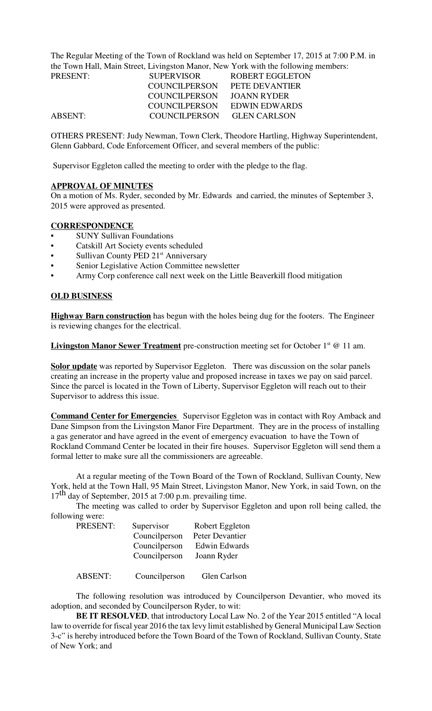The Regular Meeting of the Town of Rockland was held on September 17, 2015 at 7:00 P.M. in the Town Hall, Main Street, Livingston Manor, New York with the following members:

| PRESENT: | <b>SUPERVISOR</b>    | ROBERT EGGLETON       |
|----------|----------------------|-----------------------|
|          | <b>COUNCILPERSON</b> | <b>PETE DEVANTIER</b> |
|          | <b>COUNCILPERSON</b> | JOANN RYDER           |
|          | COUNCILPERSON        | EDWIN EDWARDS         |
| ABSENT:  | COUNCILPERSON        | <b>GLEN CARLSON</b>   |

OTHERS PRESENT: Judy Newman, Town Clerk, Theodore Hartling, Highway Superintendent, Glenn Gabbard, Code Enforcement Officer, and several members of the public:

Supervisor Eggleton called the meeting to order with the pledge to the flag.

#### **APPROVAL OF MINUTES**

On a motion of Ms. Ryder, seconded by Mr. Edwards and carried, the minutes of September 3, 2015 were approved as presented.

### **CORRESPONDENCE**

- SUNY Sullivan Foundations
- Catskill Art Society events scheduled
- Sullivan County PED 21<sup>st</sup> Anniversary
- Senior Legislative Action Committee newsletter
- Army Corp conference call next week on the Little Beaverkill flood mitigation

#### **OLD BUSINESS**

**Highway Barn construction** has begun with the holes being dug for the footers. The Engineer is reviewing changes for the electrical.

**Livingston Manor Sewer Treatment** pre-construction meeting set for October 1<sup>st</sup> @ 11 am.

**Solor update** was reported by Supervisor Eggleton. There was discussion on the solar panels creating an increase in the property value and proposed increase in taxes we pay on said parcel. Since the parcel is located in the Town of Liberty, Supervisor Eggleton will reach out to their Supervisor to address this issue.

**Command Center for Emergencies** Supervisor Eggleton was in contact with Roy Amback and Dane Simpson from the Livingston Manor Fire Department. They are in the process of installing a gas generator and have agreed in the event of emergency evacuation to have the Town of Rockland Command Center be located in their fire houses. Supervisor Eggleton will send them a formal letter to make sure all the commissioners are agreeable.

At a regular meeting of the Town Board of the Town of Rockland, Sullivan County, New York, held at the Town Hall, 95 Main Street, Livingston Manor, New York, in said Town, on the  $17<sup>th</sup>$  day of September, 2015 at 7:00 p.m. prevailing time.

The meeting was called to order by Supervisor Eggleton and upon roll being called, the following were:

| PRESENT: | Supervisor    | Robert Eggleton |
|----------|---------------|-----------------|
|          | Councilperson | Peter Devantier |
|          | Councilperson | Edwin Edwards   |
|          | Councilperson | Joann Ryder     |
|          |               |                 |
|          |               |                 |

ABSENT: Councilperson Glen Carlson

The following resolution was introduced by Councilperson Devantier, who moved its adoption, and seconded by Councilperson Ryder, to wit:

**BE IT RESOLVED**, that introductory Local Law No. 2 of the Year 2015 entitled "A local law to override for fiscal year 2016 the tax levy limit established by General Municipal Law Section 3-c" is hereby introduced before the Town Board of the Town of Rockland, Sullivan County, State of New York; and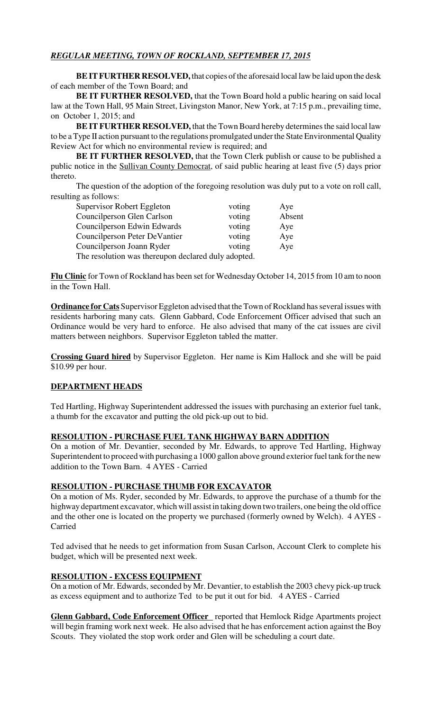# *REGULAR MEETING, TOWN OF ROCKLAND, SEPTEMBER 17, 2015*

**BE IT FURTHER RESOLVED,** that copies of the aforesaid local law be laid upon the desk of each member of the Town Board; and

**BE IT FURTHER RESOLVED,** that the Town Board hold a public hearing on said local law at the Town Hall, 95 Main Street, Livingston Manor, New York, at 7:15 p.m., prevailing time, on October 1, 2015; and

**BE IT FURTHER RESOLVED,** that the Town Board hereby determines the said local law to be a Type II action pursuant to the regulations promulgated under the State Environmental Quality Review Act for which no environmental review is required; and

**BE IT FURTHER RESOLVED, that the Town Clerk publish or cause to be published a** public notice in the Sullivan County Democrat, of said public hearing at least five (5) days prior thereto.

The question of the adoption of the foregoing resolution was duly put to a vote on roll call, resulting as follows:

| Supervisor Robert Eggleton                          | voting | Aye    |  |  |
|-----------------------------------------------------|--------|--------|--|--|
| Councilperson Glen Carlson                          | voting | Absent |  |  |
| Councilperson Edwin Edwards                         | voting | Aye    |  |  |
| Councilperson Peter DeVantier                       | voting | Aye    |  |  |
| Councilperson Joann Ryder                           | voting | Aye    |  |  |
| The resolution was thereupon declared duly adopted. |        |        |  |  |

**Flu Clinic** for Town of Rockland has been set for Wednesday October 14, 2015 from 10 am to noon in the Town Hall.

**Ordinance for Cats** Supervisor Eggleton advised that the Town of Rockland has several issues with residents harboring many cats. Glenn Gabbard, Code Enforcement Officer advised that such an Ordinance would be very hard to enforce. He also advised that many of the cat issues are civil matters between neighbors. Supervisor Eggleton tabled the matter.

**Crossing Guard hired** by Supervisor Eggleton. Her name is Kim Hallock and she will be paid \$10.99 per hour.

## **DEPARTMENT HEADS**

Ted Hartling, Highway Superintendent addressed the issues with purchasing an exterior fuel tank, a thumb for the excavator and putting the old pick-up out to bid.

# **RESOLUTION - PURCHASE FUEL TANK HIGHWAY BARN ADDITION**

On a motion of Mr. Devantier, seconded by Mr. Edwards, to approve Ted Hartling, Highway Superintendent to proceed with purchasing a 1000 gallon above ground exterior fuel tank for the new addition to the Town Barn. 4 AYES - Carried

#### **RESOLUTION - PURCHASE THUMB FOR EXCAVATOR**

On a motion of Ms. Ryder, seconded by Mr. Edwards, to approve the purchase of a thumb for the highway department excavator, which will assist in taking down two trailers, one being the old office and the other one is located on the property we purchased (formerly owned by Welch). 4 AYES - Carried

Ted advised that he needs to get information from Susan Carlson, Account Clerk to complete his budget, which will be presented next week.

## **RESOLUTION - EXCESS EQUIPMENT**

On a motion of Mr. Edwards, seconded by Mr. Devantier, to establish the 2003 chevy pick-up truck as excess equipment and to authorize Ted to be put it out for bid. 4 AYES - Carried

**Glenn Gabbard, Code Enforcement Officer** reported that Hemlock Ridge Apartments project will begin framing work next week. He also advised that he has enforcement action against the Boy Scouts. They violated the stop work order and Glen will be scheduling a court date.